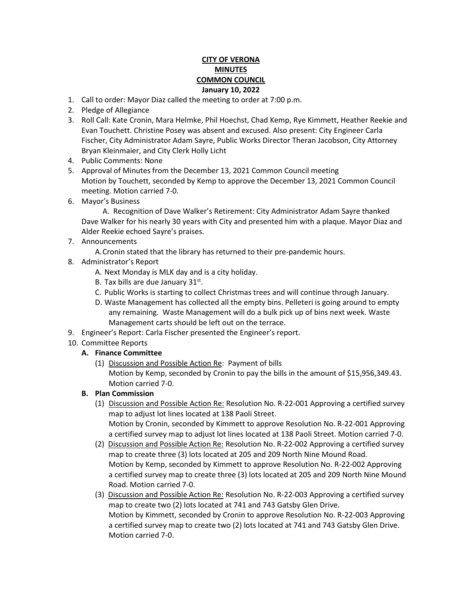## **CITY OF VERONA MINUTES COMMON COUNCIL January 10, 2022**

- 1. Call to order: Mayor Diaz called the meeting to order at 7:00 p.m.
- 2. Pledge of Allegiance
- 3. Roll Call: Kate Cronin, Mara Helmke, Phil Hoechst, Chad Kemp, Rye Kimmett, Heather Reekie and Evan Touchett. Christine Posey was absent and excused. Also present: City Engineer Carla Fischer, City Administrator Adam Sayre, Public Works Director Theran Jacobson, City Attorney Bryan Kleinmaier, and City Clerk Holly Licht
- 4. Public Comments: None
- 5. Approval of Minutes from the December 13, 2021 Common Council meeting Motion by Touchett, seconded by Kemp to approve the December 13, 2021 Common Council meeting. Motion carried 7-0.
- 6. Mayor's Business

A. Recognition of Dave Walker's Retirement: City Administrator Adam Sayre thanked Dave Walker for his nearly 30 years with City and presented him with a plaque. Mayor Diaz and Alder Reekie echoed Sayre's praises.

7. Announcements

A.Cronin stated that the library has returned to their pre-pandemic hours.

- 8. Administrator's Report
	- A. Next Monday is MLK day and is a city holiday.
	- B. Tax bills are due January 31<sup>st</sup>.
	- C. Public Works is starting to collect Christmas trees and will continue through January.
	- D. Waste Management has collected all the empty bins. Pelleteri is going around to empty any remaining. Waste Management will do a bulk pick up of bins next week. Waste Management carts should be left out on the terrace.
- 9. Engineer's Report: Carla Fischer presented the Engineer's report.
- 10. Committee Reports

## **A. Finance Committee**

(1) Discussion and Possible Action Re: Payment of bills Motion by Kemp, seconded by Cronin to pay the bills in the amount of \$15,956,349.43. Motion carried 7-0.

## **B. Plan Commission**

- (1) Discussion and Possible Action Re: Resolution No. R-22-001 Approving a certified survey map to adjust lot lines located at 138 Paoli Street. Motion by Cronin, seconded by Kimmett to approve Resolution No. R-22-001 Approving a certified survey map to adjust lot lines located at 138 Paoli Street. Motion carried 7-0.
- (2) Discussion and Possible Action Re: Resolution No. R-22-002 Approving a certified survey map to create three (3) lots located at 205 and 209 North Nine Mound Road. Motion by Kemp, seconded by Kimmett to approve Resolution No. R-22-002 Approving a certified survey map to create three (3) lots located at 205 and 209 North Nine Mound Road. Motion carried 7-0.
- (3) Discussion and Possible Action Re: Resolution No. R-22-003 Approving a certified survey map to create two (2) lots located at 741 and 743 Gatsby Glen Drive. Motion by Kimmett, seconded by Cronin to approve Resolution No. R-22-003 Approving a certified survey map to create two (2) lots located at 741 and 743 Gatsby Glen Drive. Motion carried 7-0.